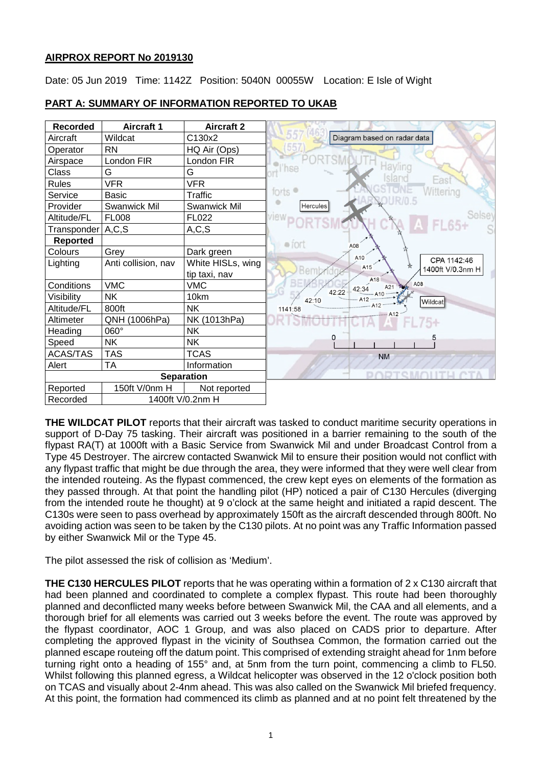#### **AIRPROX REPORT No 2019130**

Date: 05 Jun 2019 Time: 1142Z Position: 5040N 00055W Location: E Isle of Wight



**PART A: SUMMARY OF INFORMATION REPORTED TO UKAB**

**THE WILDCAT PILOT** reports that their aircraft was tasked to conduct maritime security operations in support of D-Day 75 tasking. Their aircraft was positioned in a barrier remaining to the south of the flypast RA(T) at 1000ft with a Basic Service from Swanwick Mil and under Broadcast Control from a Type 45 Destroyer. The aircrew contacted Swanwick Mil to ensure their position would not conflict with any flypast traffic that might be due through the area, they were informed that they were well clear from the intended routeing. As the flypast commenced, the crew kept eyes on elements of the formation as they passed through. At that point the handling pilot (HP) noticed a pair of C130 Hercules (diverging from the intended route he thought) at 9 o'clock at the same height and initiated a rapid descent. The C130s were seen to pass overhead by approximately 150ft as the aircraft descended through 800ft. No avoiding action was seen to be taken by the C130 pilots. At no point was any Traffic Information passed by either Swanwick Mil or the Type 45.

The pilot assessed the risk of collision as 'Medium'.

**THE C130 HERCULES PILOT** reports that he was operating within a formation of 2 x C130 aircraft that had been planned and coordinated to complete a complex flypast. This route had been thoroughly planned and deconflicted many weeks before between Swanwick Mil, the CAA and all elements, and a thorough brief for all elements was carried out 3 weeks before the event. The route was approved by the flypast coordinator, AOC 1 Group, and was also placed on CADS prior to departure. After completing the approved flypast in the vicinity of Southsea Common, the formation carried out the planned escape routeing off the datum point. This comprised of extending straight ahead for 1nm before turning right onto a heading of 155° and, at 5nm from the turn point, commencing a climb to FL50. Whilst following this planned egress, a Wildcat helicopter was observed in the 12 o'clock position both on TCAS and visually about 2-4nm ahead. This was also called on the Swanwick Mil briefed frequency. At this point, the formation had commenced its climb as planned and at no point felt threatened by the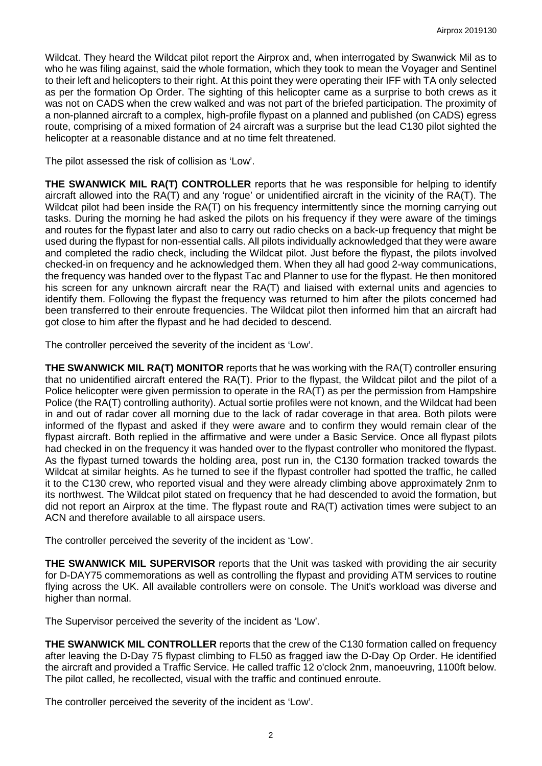Wildcat. They heard the Wildcat pilot report the Airprox and, when interrogated by Swanwick Mil as to who he was filing against, said the whole formation, which they took to mean the Voyager and Sentinel to their left and helicopters to their right. At this point they were operating their IFF with TA only selected as per the formation Op Order. The sighting of this helicopter came as a surprise to both crews as it was not on CADS when the crew walked and was not part of the briefed participation. The proximity of a non-planned aircraft to a complex, high-profile flypast on a planned and published (on CADS) egress route, comprising of a mixed formation of 24 aircraft was a surprise but the lead C130 pilot sighted the helicopter at a reasonable distance and at no time felt threatened.

The pilot assessed the risk of collision as 'Low'.

**THE SWANWICK MIL RA(T) CONTROLLER** reports that he was responsible for helping to identify aircraft allowed into the RA(T) and any 'rogue' or unidentified aircraft in the vicinity of the RA(T). The Wildcat pilot had been inside the RA(T) on his frequency intermittently since the morning carrying out tasks. During the morning he had asked the pilots on his frequency if they were aware of the timings and routes for the flypast later and also to carry out radio checks on a back-up frequency that might be used during the flypast for non-essential calls. All pilots individually acknowledged that they were aware and completed the radio check, including the Wildcat pilot. Just before the flypast, the pilots involved checked-in on frequency and he acknowledged them. When they all had good 2-way communications, the frequency was handed over to the flypast Tac and Planner to use for the flypast. He then monitored his screen for any unknown aircraft near the RA(T) and liaised with external units and agencies to identify them. Following the flypast the frequency was returned to him after the pilots concerned had been transferred to their enroute frequencies. The Wildcat pilot then informed him that an aircraft had got close to him after the flypast and he had decided to descend.

The controller perceived the severity of the incident as 'Low'.

**THE SWANWICK MIL RA(T) MONITOR** reports that he was working with the RA(T) controller ensuring that no unidentified aircraft entered the RA(T). Prior to the flypast, the Wildcat pilot and the pilot of a Police helicopter were given permission to operate in the RA(T) as per the permission from Hampshire Police (the RA(T) controlling authority). Actual sortie profiles were not known, and the Wildcat had been in and out of radar cover all morning due to the lack of radar coverage in that area. Both pilots were informed of the flypast and asked if they were aware and to confirm they would remain clear of the flypast aircraft. Both replied in the affirmative and were under a Basic Service. Once all flypast pilots had checked in on the frequency it was handed over to the flypast controller who monitored the flypast. As the flypast turned towards the holding area, post run in, the C130 formation tracked towards the Wildcat at similar heights. As he turned to see if the flypast controller had spotted the traffic, he called it to the C130 crew, who reported visual and they were already climbing above approximately 2nm to its northwest. The Wildcat pilot stated on frequency that he had descended to avoid the formation, but did not report an Airprox at the time. The flypast route and RA(T) activation times were subject to an ACN and therefore available to all airspace users.

The controller perceived the severity of the incident as 'Low'.

**THE SWANWICK MIL SUPERVISOR** reports that the Unit was tasked with providing the air security for D-DAY75 commemorations as well as controlling the flypast and providing ATM services to routine flying across the UK. All available controllers were on console. The Unit's workload was diverse and higher than normal.

The Supervisor perceived the severity of the incident as 'Low'.

**THE SWANWICK MIL CONTROLLER** reports that the crew of the C130 formation called on frequency after leaving the D-Day 75 flypast climbing to FL50 as fragged iaw the D-Day Op Order. He identified the aircraft and provided a Traffic Service. He called traffic 12 o'clock 2nm, manoeuvring, 1100ft below. The pilot called, he recollected, visual with the traffic and continued enroute.

The controller perceived the severity of the incident as 'Low'.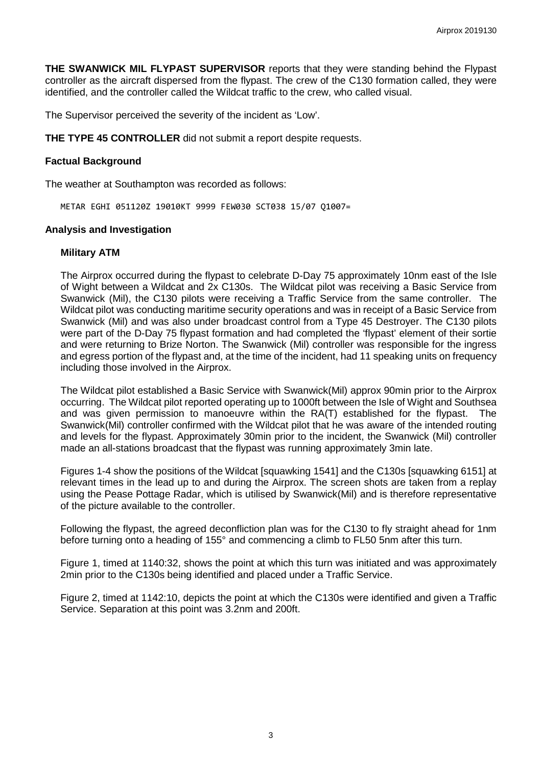**THE SWANWICK MIL FLYPAST SUPERVISOR** reports that they were standing behind the Flypast controller as the aircraft dispersed from the flypast. The crew of the C130 formation called, they were identified, and the controller called the Wildcat traffic to the crew, who called visual.

The Supervisor perceived the severity of the incident as 'Low'.

**THE TYPE 45 CONTROLLER** did not submit a report despite requests.

#### **Factual Background**

The weather at Southampton was recorded as follows:

METAR EGHI 051120Z 19010KT 9999 FEW030 SCT038 15/07 Q1007=

#### **Analysis and Investigation**

#### **Military ATM**

The Airprox occurred during the flypast to celebrate D-Day 75 approximately 10nm east of the Isle of Wight between a Wildcat and 2x C130s. The Wildcat pilot was receiving a Basic Service from Swanwick (Mil), the C130 pilots were receiving a Traffic Service from the same controller. The Wildcat pilot was conducting maritime security operations and was in receipt of a Basic Service from Swanwick (Mil) and was also under broadcast control from a Type 45 Destroyer. The C130 pilots were part of the D-Day 75 flypast formation and had completed the 'flypast' element of their sortie and were returning to Brize Norton. The Swanwick (Mil) controller was responsible for the ingress and egress portion of the flypast and, at the time of the incident, had 11 speaking units on frequency including those involved in the Airprox.

The Wildcat pilot established a Basic Service with Swanwick(Mil) approx 90min prior to the Airprox occurring. The Wildcat pilot reported operating up to 1000ft between the Isle of Wight and Southsea and was given permission to manoeuvre within the RA(T) established for the flypast. The Swanwick(Mil) controller confirmed with the Wildcat pilot that he was aware of the intended routing and levels for the flypast. Approximately 30min prior to the incident, the Swanwick (Mil) controller made an all-stations broadcast that the flypast was running approximately 3min late.

Figures 1-4 show the positions of the Wildcat [squawking 1541] and the C130s [squawking 6151] at relevant times in the lead up to and during the Airprox. The screen shots are taken from a replay using the Pease Pottage Radar, which is utilised by Swanwick(Mil) and is therefore representative of the picture available to the controller.

Following the flypast, the agreed deconfliction plan was for the C130 to fly straight ahead for 1nm before turning onto a heading of 155° and commencing a climb to FL50 5nm after this turn.

Figure 1, timed at 1140:32, shows the point at which this turn was initiated and was approximately 2min prior to the C130s being identified and placed under a Traffic Service.

Figure 2, timed at 1142:10, depicts the point at which the C130s were identified and given a Traffic Service. Separation at this point was 3.2nm and 200ft.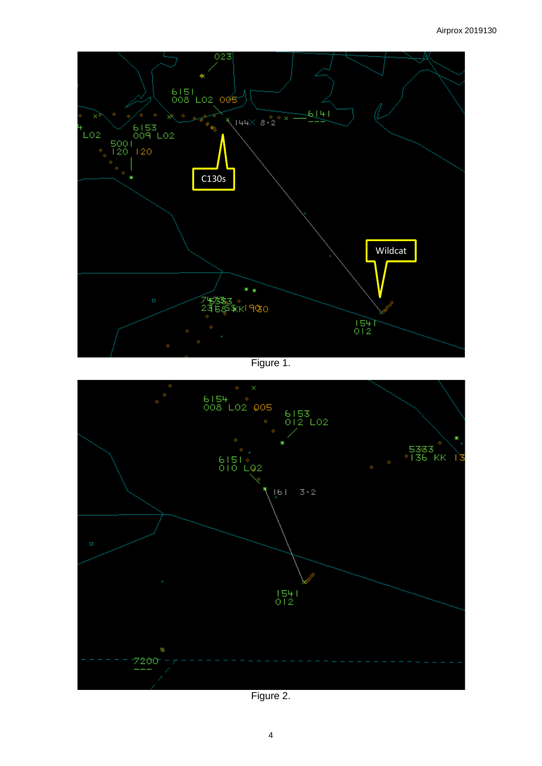

Figure 1.



Figure 2.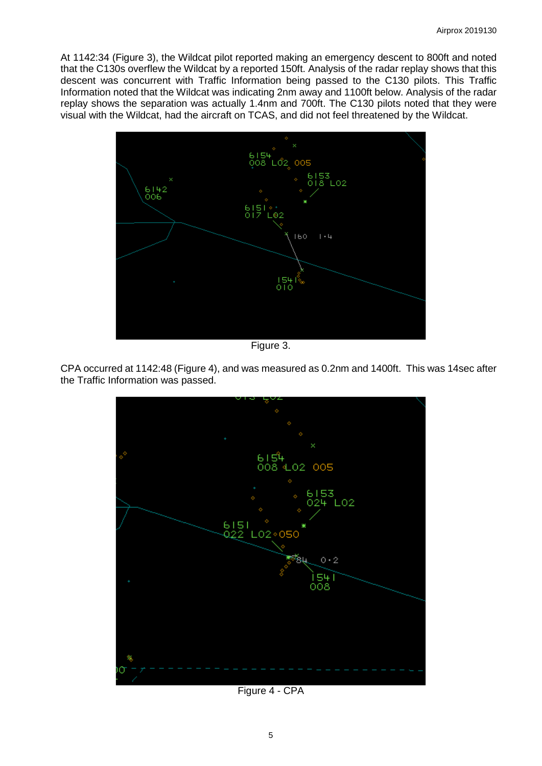At 1142:34 (Figure 3), the Wildcat pilot reported making an emergency descent to 800ft and noted that the C130s overflew the Wildcat by a reported 150ft. Analysis of the radar replay shows that this descent was concurrent with Traffic Information being passed to the C130 pilots. This Traffic Information noted that the Wildcat was indicating 2nm away and 1100ft below. Analysis of the radar replay shows the separation was actually 1.4nm and 700ft. The C130 pilots noted that they were visual with the Wildcat, had the aircraft on TCAS, and did not feel threatened by the Wildcat.



Figure 3.

CPA occurred at 1142:48 (Figure 4), and was measured as 0.2nm and 1400ft. This was 14sec after the Traffic Information was passed.



Figure 4 - CPA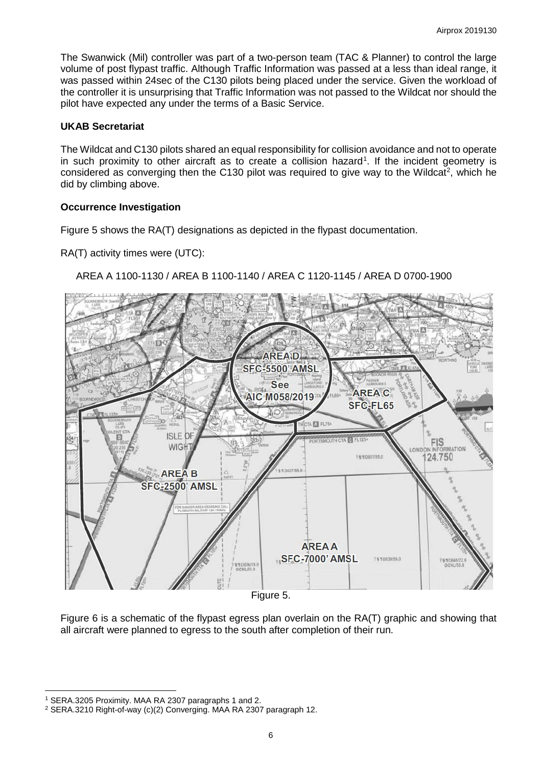The Swanwick (Mil) controller was part of a two-person team (TAC & Planner) to control the large volume of post flypast traffic. Although Traffic Information was passed at a less than ideal range, it was passed within 24sec of the C130 pilots being placed under the service. Given the workload of the controller it is unsurprising that Traffic Information was not passed to the Wildcat nor should the pilot have expected any under the terms of a Basic Service.

# **UKAB Secretariat**

The Wildcat and C130 pilots shared an equal responsibility for collision avoidance and not to operate in such proximity to other aircraft as to create a collision hazard<sup>[1](#page-5-0)</sup>. If the incident geometry is considered as converging then the C130 pilot was required to give way to the Wildcat<sup>[2](#page-5-1)</sup>, which he did by climbing above.

# **Occurrence Investigation**

Figure 5 shows the RA(T) designations as depicted in the flypast documentation.

RA(T) activity times were (UTC):

# AREA A 1100-1130 / AREA B 1100-1140 / AREA C 1120-1145 / AREA D 0700-1900



Figure 6 is a schematic of the flypast egress plan overlain on the RA(T) graphic and showing that all aircraft were planned to egress to the south after completion of their run.

 $\overline{\phantom{a}}$ <sup>1</sup> SERA.3205 Proximity. MAA RA 2307 paragraphs 1 and 2.

<span id="page-5-1"></span><span id="page-5-0"></span><sup>2</sup> SERA.3210 Right-of-way (c)(2) Converging. MAA RA 2307 paragraph 12.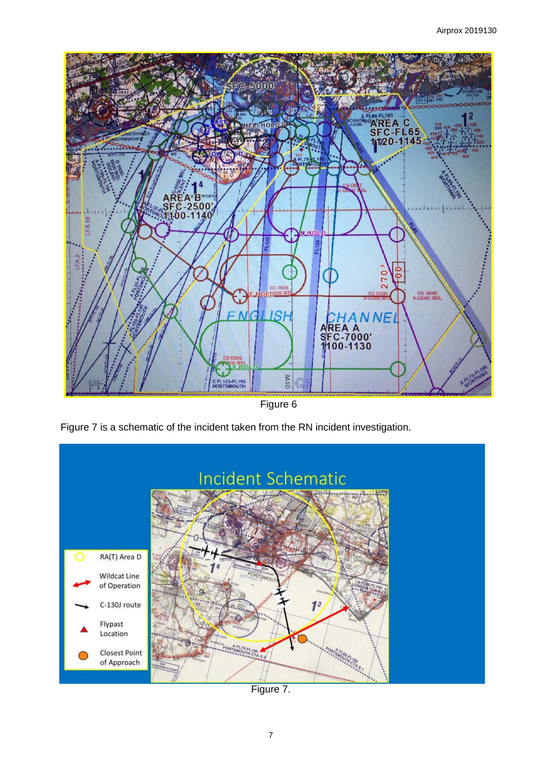

Figure 6





Figure 7.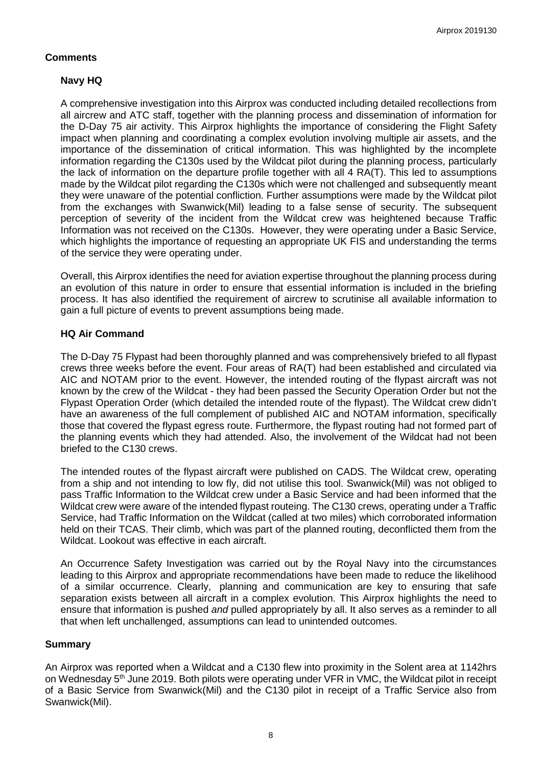# **Comments**

# **Navy HQ**

A comprehensive investigation into this Airprox was conducted including detailed recollections from all aircrew and ATC staff, together with the planning process and dissemination of information for the D-Day 75 air activity. This Airprox highlights the importance of considering the Flight Safety impact when planning and coordinating a complex evolution involving multiple air assets, and the importance of the dissemination of critical information. This was highlighted by the incomplete information regarding the C130s used by the Wildcat pilot during the planning process, particularly the lack of information on the departure profile together with all 4 RA(T). This led to assumptions made by the Wildcat pilot regarding the C130s which were not challenged and subsequently meant they were unaware of the potential confliction. Further assumptions were made by the Wildcat pilot from the exchanges with Swanwick(Mil) leading to a false sense of security. The subsequent perception of severity of the incident from the Wildcat crew was heightened because Traffic Information was not received on the C130s. However, they were operating under a Basic Service, which highlights the importance of requesting an appropriate UK FIS and understanding the terms of the service they were operating under.

Overall, this Airprox identifies the need for aviation expertise throughout the planning process during an evolution of this nature in order to ensure that essential information is included in the briefing process. It has also identified the requirement of aircrew to scrutinise all available information to gain a full picture of events to prevent assumptions being made.

# **HQ Air Command**

The D-Day 75 Flypast had been thoroughly planned and was comprehensively briefed to all flypast crews three weeks before the event. Four areas of RA(T) had been established and circulated via AIC and NOTAM prior to the event. However, the intended routing of the flypast aircraft was not known by the crew of the Wildcat - they had been passed the Security Operation Order but not the Flypast Operation Order (which detailed the intended route of the flypast). The Wildcat crew didn't have an awareness of the full complement of published AIC and NOTAM information, specifically those that covered the flypast egress route. Furthermore, the flypast routing had not formed part of the planning events which they had attended. Also, the involvement of the Wildcat had not been briefed to the C130 crews.

The intended routes of the flypast aircraft were published on CADS. The Wildcat crew, operating from a ship and not intending to low fly, did not utilise this tool. Swanwick(Mil) was not obliged to pass Traffic Information to the Wildcat crew under a Basic Service and had been informed that the Wildcat crew were aware of the intended flypast routeing. The C130 crews, operating under a Traffic Service, had Traffic Information on the Wildcat (called at two miles) which corroborated information held on their TCAS. Their climb, which was part of the planned routing, deconflicted them from the Wildcat. Lookout was effective in each aircraft.

An Occurrence Safety Investigation was carried out by the Royal Navy into the circumstances leading to this Airprox and appropriate recommendations have been made to reduce the likelihood of a similar occurrence. Clearly, planning and communication are key to ensuring that safe separation exists between all aircraft in a complex evolution. This Airprox highlights the need to ensure that information is pushed *and* pulled appropriately by all. It also serves as a reminder to all that when left unchallenged, assumptions can lead to unintended outcomes.

#### **Summary**

An Airprox was reported when a Wildcat and a C130 flew into proximity in the Solent area at 1142hrs on Wednesday 5<sup>th</sup> June 2019. Both pilots were operating under VFR in VMC, the Wildcat pilot in receipt of a Basic Service from Swanwick(Mil) and the C130 pilot in receipt of a Traffic Service also from Swanwick(Mil).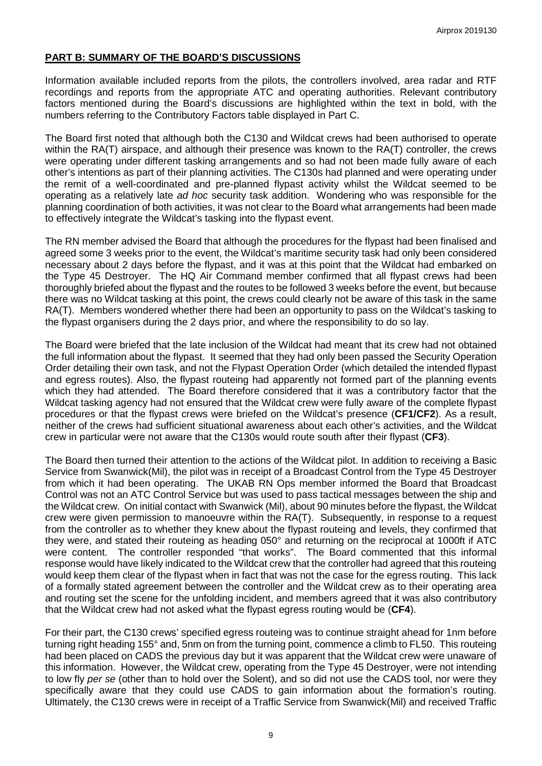### **PART B: SUMMARY OF THE BOARD'S DISCUSSIONS**

Information available included reports from the pilots, the controllers involved, area radar and RTF recordings and reports from the appropriate ATC and operating authorities. Relevant contributory factors mentioned during the Board's discussions are highlighted within the text in bold, with the numbers referring to the Contributory Factors table displayed in Part C.

The Board first noted that although both the C130 and Wildcat crews had been authorised to operate within the RA(T) airspace, and although their presence was known to the RA(T) controller, the crews were operating under different tasking arrangements and so had not been made fully aware of each other's intentions as part of their planning activities. The C130s had planned and were operating under the remit of a well-coordinated and pre-planned flypast activity whilst the Wildcat seemed to be operating as a relatively late *ad hoc* security task addition. Wondering who was responsible for the planning coordination of both activities, it was not clear to the Board what arrangements had been made to effectively integrate the Wildcat's tasking into the flypast event.

The RN member advised the Board that although the procedures for the flypast had been finalised and agreed some 3 weeks prior to the event, the Wildcat's maritime security task had only been considered necessary about 2 days before the flypast, and it was at this point that the Wildcat had embarked on the Type 45 Destroyer. The HQ Air Command member confirmed that all flypast crews had been thoroughly briefed about the flypast and the routes to be followed 3 weeks before the event, but because there was no Wildcat tasking at this point, the crews could clearly not be aware of this task in the same RA(T). Members wondered whether there had been an opportunity to pass on the Wildcat's tasking to the flypast organisers during the 2 days prior, and where the responsibility to do so lay.

The Board were briefed that the late inclusion of the Wildcat had meant that its crew had not obtained the full information about the flypast. It seemed that they had only been passed the Security Operation Order detailing their own task, and not the Flypast Operation Order (which detailed the intended flypast and egress routes). Also, the flypast routeing had apparently not formed part of the planning events which they had attended. The Board therefore considered that it was a contributory factor that the Wildcat tasking agency had not ensured that the Wildcat crew were fully aware of the complete flypast procedures or that the flypast crews were briefed on the Wildcat's presence (**CF1/CF2**). As a result, neither of the crews had sufficient situational awareness about each other's activities, and the Wildcat crew in particular were not aware that the C130s would route south after their flypast (**CF3**).

The Board then turned their attention to the actions of the Wildcat pilot. In addition to receiving a Basic Service from Swanwick(Mil), the pilot was in receipt of a Broadcast Control from the Type 45 Destroyer from which it had been operating. The UKAB RN Ops member informed the Board that Broadcast Control was not an ATC Control Service but was used to pass tactical messages between the ship and the Wildcat crew. On initial contact with Swanwick (Mil), about 90 minutes before the flypast, the Wildcat crew were given permission to manoeuvre within the RA(T). Subsequently, in response to a request from the controller as to whether they knew about the flypast routeing and levels, they confirmed that they were, and stated their routeing as heading 050° and returning on the reciprocal at 1000ft if ATC were content. The controller responded "that works". The Board commented that this informal response would have likely indicated to the Wildcat crew that the controller had agreed that this routeing would keep them clear of the flypast when in fact that was not the case for the egress routing. This lack of a formally stated agreement between the controller and the Wildcat crew as to their operating area and routing set the scene for the unfolding incident, and members agreed that it was also contributory that the Wildcat crew had not asked what the flypast egress routing would be (**CF4**).

For their part, the C130 crews' specified egress routeing was to continue straight ahead for 1nm before turning right heading 155° and, 5nm on from the turning point, commence a climb to FL50. This routeing had been placed on CADS the previous day but it was apparent that the Wildcat crew were unaware of this information. However, the Wildcat crew, operating from the Type 45 Destroyer, were not intending to low fly *per se* (other than to hold over the Solent), and so did not use the CADS tool, nor were they specifically aware that they could use CADS to gain information about the formation's routing. Ultimately, the C130 crews were in receipt of a Traffic Service from Swanwick(Mil) and received Traffic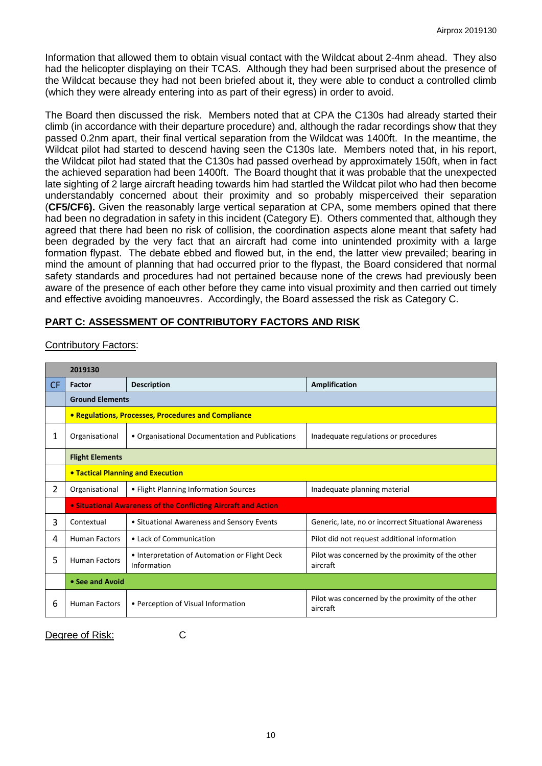Information that allowed them to obtain visual contact with the Wildcat about 2-4nm ahead. They also had the helicopter displaying on their TCAS. Although they had been surprised about the presence of the Wildcat because they had not been briefed about it, they were able to conduct a controlled climb (which they were already entering into as part of their egress) in order to avoid.

The Board then discussed the risk. Members noted that at CPA the C130s had already started their climb (in accordance with their departure procedure) and, although the radar recordings show that they passed 0.2nm apart, their final vertical separation from the Wildcat was 1400ft. In the meantime, the Wildcat pilot had started to descend having seen the C130s late. Members noted that, in his report, the Wildcat pilot had stated that the C130s had passed overhead by approximately 150ft, when in fact the achieved separation had been 1400ft. The Board thought that it was probable that the unexpected late sighting of 2 large aircraft heading towards him had startled the Wildcat pilot who had then become understandably concerned about their proximity and so probably misperceived their separation (**CF5/CF6).** Given the reasonably large vertical separation at CPA, some members opined that there had been no degradation in safety in this incident (Category E). Others commented that, although they agreed that there had been no risk of collision, the coordination aspects alone meant that safety had been degraded by the very fact that an aircraft had come into unintended proximity with a large formation flypast. The debate ebbed and flowed but, in the end, the latter view prevailed; bearing in mind the amount of planning that had occurred prior to the flypast, the Board considered that normal safety standards and procedures had not pertained because none of the crews had previously been aware of the presence of each other before they came into visual proximity and then carried out timely and effective avoiding manoeuvres. Accordingly, the Board assessed the risk as Category C.

# **PART C: ASSESSMENT OF CONTRIBUTORY FACTORS AND RISK**

|                | 2019130                                                        |                                                              |                                                               |  |
|----------------|----------------------------------------------------------------|--------------------------------------------------------------|---------------------------------------------------------------|--|
| CF.            | Factor                                                         | <b>Description</b>                                           | Amplification                                                 |  |
|                | <b>Ground Elements</b>                                         |                                                              |                                                               |  |
|                | • Regulations, Processes, Procedures and Compliance            |                                                              |                                                               |  |
| 1              | Organisational                                                 | • Organisational Documentation and Publications              | Inadequate regulations or procedures                          |  |
|                | <b>Flight Elements</b>                                         |                                                              |                                                               |  |
|                | <b>• Tactical Planning and Execution</b>                       |                                                              |                                                               |  |
| $\overline{2}$ | Organisational                                                 | • Flight Planning Information Sources                        | Inadequate planning material                                  |  |
|                | • Situational Awareness of the Conflicting Aircraft and Action |                                                              |                                                               |  |
| 3              | Contextual                                                     | • Situational Awareness and Sensory Events                   | Generic, late, no or incorrect Situational Awareness          |  |
| 4              | <b>Human Factors</b>                                           | • Lack of Communication                                      | Pilot did not request additional information                  |  |
| 5              | <b>Human Factors</b>                                           | • Interpretation of Automation or Flight Deck<br>Information | Pilot was concerned by the proximity of the other<br>aircraft |  |
|                | • See and Avoid                                                |                                                              |                                                               |  |
| 6              | <b>Human Factors</b>                                           | • Perception of Visual Information                           | Pilot was concerned by the proximity of the other<br>aircraft |  |

# Contributory Factors:

Degree of Risk: C